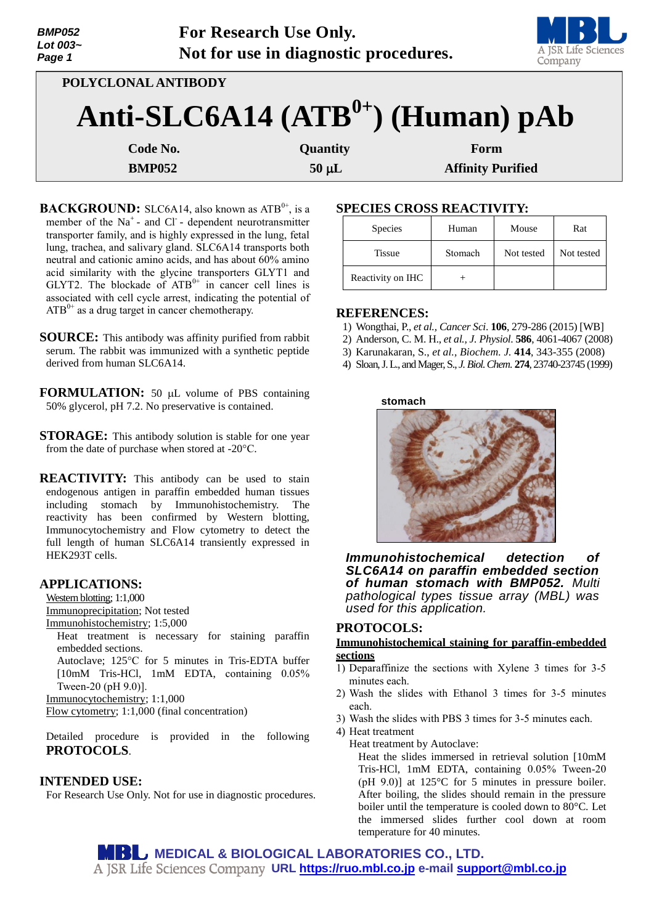| <b>BMP052</b><br>Lot 003~<br>Page 1 |                     | For Research Use Only.<br>Not for use in diagnostic procedures. | A JSR Life Science<br>Company |
|-------------------------------------|---------------------|-----------------------------------------------------------------|-------------------------------|
|                                     | POLYCLONAL ANTIBODY |                                                                 |                               |
|                                     |                     | Anti-SLC6A14 $(ATB0+)$ (Human) pAb                              |                               |
|                                     | Code No.            | <b>Quantity</b>                                                 | Form                          |

**BMP052** 50 µ**L** Affinity Purified

**BACKGROUND:** SLC6A14, also known as ATB<sup>0+</sup>, is a member of the  $Na<sup>+</sup>$  and Cl<sup>-</sup> dependent neurotransmitter transporter family, and is highly expressed in the lung, fetal lung, trachea, and salivary gland. SLC6A14 transports both neutral and cationic amino acids, and has about 60% amino acid similarity with the glycine transporters GLYT1 and GLYT2. The blockade of  $ATB^{0+}$  in cancer cell lines is associated with cell cycle arrest, indicating the potential of  $ATB^{0+}$  as a drug target in cancer chemotherapy.

**SOURCE:** This antibody was affinity purified from rabbit serum. The rabbit was immunized with a synthetic peptide derived from human SLC6A14.

**FORMULATION:** 50 µL volume of PBS containing 50% glycerol, pH 7.2. No preservative is contained.

**STORAGE:** This antibody solution is stable for one year from the date of purchase when stored at -20°C.

**REACTIVITY:** This antibody can be used to stain endogenous antigen in paraffin embedded human tissues including stomach by Immunohistochemistry. The reactivity has been confirmed by Western blotting, Immunocytochemistry and Flow cytometry to detect the full length of human SLC6A14 transiently expressed in HEK293T cells.

### **APPLICATIONS:**

Western blotting; 1:1,000

Immunoprecipitation; Not tested

Immunohistochemistry; 1:5,000

Heat treatment is necessary for staining paraffin embedded sections.

Autoclave; 125°C for 5 minutes in Tris-EDTA buffer [10mM Tris-HCl, 1mM EDTA, containing 0.05% Tween-20 (pH 9.0)].

Immunocytochemistry; 1:1,000

Flow cytometry; 1:1,000 (final concentration)

Detailed procedure is provided in the following **PROTOCOLS**.

## **INTENDED USE:**

For Research Use Only. Not for use in diagnostic procedures.

## **SPECIES CROSS REACTIVITY:**

| <b>Species</b>    | Human   | Mouse      | Rat        |
|-------------------|---------|------------|------------|
| <b>Tissue</b>     | Stomach | Not tested | Not tested |
| Reactivity on IHC |         |            |            |

### **REFERENCES:**

- 1) Wongthai, P., *et al., Cancer Sci*. **106**, 279-286 (2015) [WB]
- 2) Anderson, C. M. H., *et al., J. Physiol*. **586**, 4061-4067 (2008)
- 3) Karunakaran, S., *et al., Biochem. J.* **414**, 343-355 (2008)
- 4) Sloan,J. L., and Mager,S., *J. Biol. Chem*. **274**, 23740-23745 (1999)

**stomach**



*Immunohistochemical detection of SLC6A14 on paraffin embedded section of human stomach with BMP052. Multi pathological types tissue array (MBL) was used for this application.*

#### **PROTOCOLS:**

## **Immunohistochemical staining for paraffin-embedded sections**

- 1) Deparaffinize the sections with Xylene 3 times for 3-5 minutes each.
- 2) Wash the slides with Ethanol 3 times for 3-5 minutes each.
- 3) Wash the slides with PBS 3 times for 3-5 minutes each.

4) Heat treatment

Heat treatment by Autoclave:

Heat the slides immersed in retrieval solution [10mM Tris-HCl, 1mM EDTA, containing 0.05% Tween-20 (pH 9.0)] at 125°C for 5 minutes in pressure boiler. After boiling, the slides should remain in the pressure boiler until the temperature is cooled down to 80°C. Let the immersed slides further cool down at room temperature for 40 minutes.

**MEDICAL & BIOLOGICAL LABORATORIES CO., LTD. URL [https://ruo.mbl.co.jp](https://ruo.mbl.co.jp/) e-mail [support@mbl.co.jp](mailto:support@mbl.co.jp)**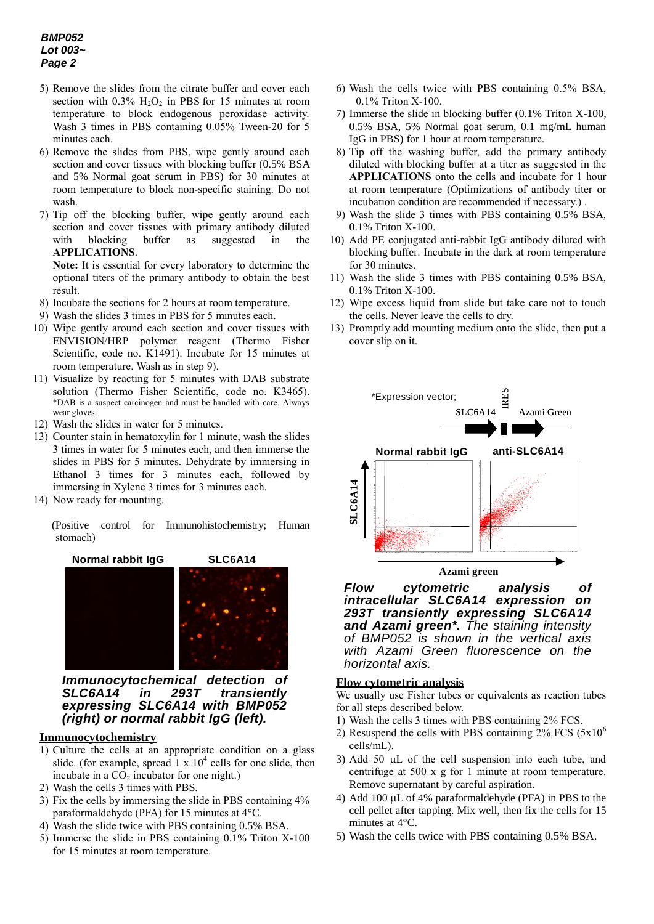# *BMP052 Lot 003~ Page 2*

- 5) Remove the slides from the citrate buffer and cover each section with  $0.3\%$  H<sub>2</sub>O<sub>2</sub> in PBS for 15 minutes at room temperature to block endogenous peroxidase activity. Wash 3 times in PBS containing 0.05% Tween-20 for 5 minutes each.
- 6) Remove the slides from PBS, wipe gently around each section and cover tissues with blocking buffer (0.5% BSA and 5% Normal goat serum in PBS) for 30 minutes at room temperature to block non-specific staining. Do not wash.
- 7) Tip off the blocking buffer, wipe gently around each section and cover tissues with primary antibody diluted with blocking buffer as suggested in the **APPLICATIONS**.

**Note:** It is essential for every laboratory to determine the optional titers of the primary antibody to obtain the best result.

- 8) Incubate the sections for 2 hours at room temperature.
- 9) Wash the slides 3 times in PBS for 5 minutes each.
- 10) Wipe gently around each section and cover tissues with ENVISION/HRP polymer reagent (Thermo Fisher Scientific, code no. K1491). Incubate for 15 minutes at room temperature. Wash as in step 9).
- 11) Visualize by reacting for 5 minutes with DAB substrate solution (Thermo Fisher Scientific, code no. K3465). \*DAB is a suspect carcinogen and must be handled with care. Always wear gloves.
- 12) Wash the slides in water for 5 minutes.
- 13) Counter stain in hematoxylin for 1 minute, wash the slides 3 times in water for 5 minutes each, and then immerse the slides in PBS for 5 minutes. Dehydrate by immersing in Ethanol 3 times for 3 minutes each, followed by immersing in Xylene 3 times for 3 minutes each.
- 14) Now ready for mounting.

(Positive control for Immunohistochemistry; Human stomach)

**Normal rabbit IgG SLC6A14**

*Immunocytochemical detection of SLC6A14 in 293T transiently expressing SLC6A14 with BMP052 (right) or normal rabbit IgG (left).*

## **Immunocytochemistry**

- 1) Culture the cells at an appropriate condition on a glass slide. (for example, spread  $1 \times 10^4$  cells for one slide, then incubate in a  $CO<sub>2</sub>$  incubator for one night.)
- 2) Wash the cells 3 times with PBS.
- 3) Fix the cells by immersing the slide in PBS containing 4% paraformaldehyde (PFA) for 15 minutes at 4°C.
- 4) Wash the slide twice with PBS containing 0.5% BSA.
- 5) Immerse the slide in PBS containing 0.1% Triton X-100 for 15 minutes at room temperature.
- 6) Wash the cells twice with PBS containing 0.5% BSA, 0.1% Triton X-100.
- 7) Immerse the slide in blocking buffer (0.1% Triton X-100, 0.5% BSA, 5% Normal goat serum, 0.1 mg/mL human IgG in PBS) for 1 hour at room temperature.
- 8) Tip off the washing buffer, add the primary antibody diluted with blocking buffer at a titer as suggested in the **APPLICATIONS** onto the cells and incubate for 1 hour at room temperature (Optimizations of antibody titer or incubation condition are recommended if necessary.) .
- 9) Wash the slide 3 times with PBS containing 0.5% BSA, 0.1% Triton X-100.
- 10) Add PE conjugated anti-rabbit IgG antibody diluted with blocking buffer. Incubate in the dark at room temperature for 30 minutes.
- 11) Wash the slide 3 times with PBS containing 0.5% BSA, 0.1% Triton X-100.
- 12) Wipe excess liquid from slide but take care not to touch the cells. Never leave the cells to dry.
- 13) Promptly add mounting medium onto the slide, then put a cover slip on it.



*Flow cytometric analysis of intracellular SLC6A14 expression on 293T transiently expressing SLC6A14 and Azami green\*. The staining intensity of BMP052 is shown in the vertical axis with Azami Green fluorescence on the horizontal axis.* 

#### **Flow cytometric analysis**

We usually use Fisher tubes or equivalents as reaction tubes for all steps described below.

- 1) Wash the cells 3 times with PBS containing 2% FCS.
- 2) Resuspend the cells with PBS containing  $2\%$  FCS  $(5x10^6)$ cells/mL).
- 3) Add 50  $\mu$ L of the cell suspension into each tube, and centrifuge at 500 x g for 1 minute at room temperature. Remove supernatant by careful aspiration.
- 4) Add 100  $\mu$ L of 4% paraformaldehyde (PFA) in PBS to the cell pellet after tapping. Mix well, then fix the cells for 15 minutes at 4°C.
- 5) Wash the cells twice with PBS containing 0.5% BSA.